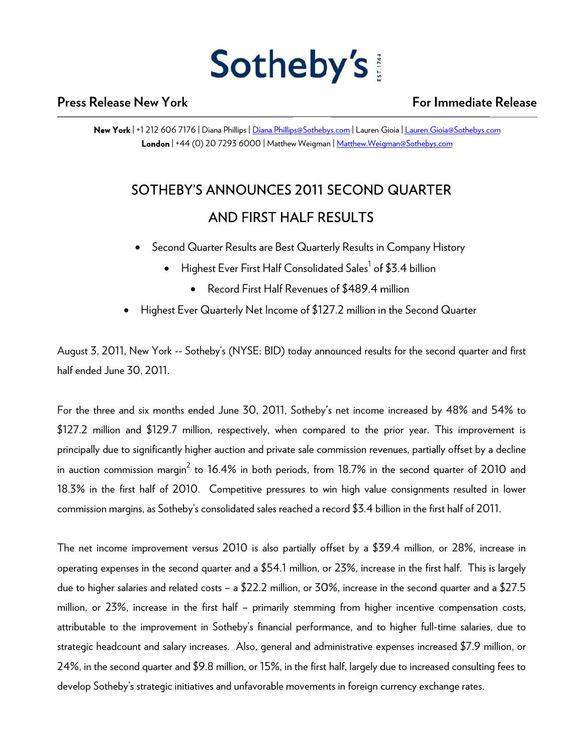# Sotheby's

New York | +1 212 606 7176 | Diana Phillips | <u>Diana.Phillips@Sothebys.com</u> | Lauren Gioia | <u>Lauren.Gioia@Sothebys.com</u> London | +44 (0) 20 7293 6000 | Matthew Weigman | <u>Matthew.Weigman@Sothebys.com</u>

# SOTHEBY'S ANNOUNCES 2011 SECOND QUARTER AND FIRST HALF RESULTS

- Second Quarter Results are Best Quarterly Results in Company History
	- $\bullet$  Highest Ever First Half Consolidated Sales $^1$  of \$3.4 billion
		- Record First Half Revenues of \$489.4 million
- $\bullet$  Highest Ever Quarterly Net Income of  $\$127.2$  million in the Second Quarter

August 3, 2011, New York -- Sotheby's (NYSE: BID) today announced results for the second quarter and first half ended J une 30, 201 1.

For the three and six months ended June 30, 2011, Sotheby's net income increased by 48% and 54% to \$127.2 milli ion and \$129 9.7 million, respectively, when comp ared to the prior year. T This improve ement is principally due to significantly higher auction and private sale commission revenues, partially offset by a decline in auction commission margin $^2$  to 16.4% in both periods, from 18.7% in the second quarter of 2010 and 18.3% in the first half of 2010. Competitive pressures to win high value consignments resulted in lower commission margins, as Sotheby's consolidated sales reached a record \$3.4 billion in the first half of 2011.

The net income improvement versus 2010 is also partially offset by a \$39.4 million, or 28%, increase in operating expenses in the second quarter and a \$54.1 million, or 23%, increase in the first half. This is largely due to higher salaries and related costs – a \$22.2 million, or 30%, increase in the second quarter and a \$27.5 million, or 23%, increase in the first half – primarily stemming from higher incentive compensation costs, attributable to the improvement in Sotheby's financial performance, and to higher full-time salaries, due to strategic headcount and salary increases. Also, general and administrative expenses increased \$7.9 million, or 24%, in the second quarter and \$9.8 million, or 15%, in the first half, largely due to increased consulting fees to develop Sotheby's strategic initiatives and unfavorable movements in foreign currency exchange rates.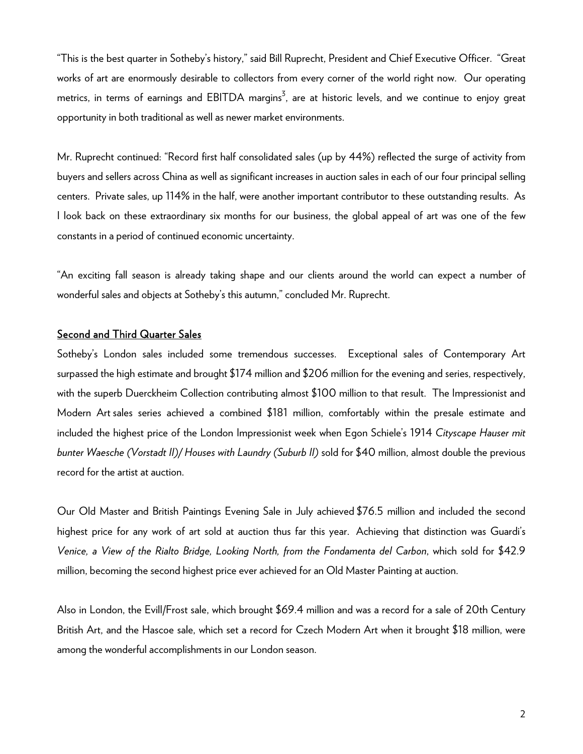"This is the best quarter in Sotheby's history," said Bill Ruprecht, President and Chief Executive Officer. "Great works of art are enormously desirable to collectors from every corner of the world right now. Our operating metrics, in terms of earnings and EBITDA margins $^{\text{3}}$ , are at historic levels, and we continue to enjoy great opportunity in both traditional as well as newer market environments.

Mr. Ruprecht continued: "Record first half consolidated sales (up by 44%) reflected the surge of activity from buyers and sellers across China as well as significant increases in auction sales in each of our four principal selling centers. Private sales, up 114% in the half, were another important contributor to these outstanding results. As I look back on these extraordinary six months for our business, the global appeal of art was one of the few constants in a period of continued economic uncertainty.

"An exciting fall season is already taking shape and our clients around the world can expect a number of wonderful sales and objects at Sotheby's this autumn," concluded Mr. Ruprecht.

#### Second and Third Quarter Sales

Sotheby's London sales included some tremendous successes. Exceptional sales of Contemporary Art surpassed the high estimate and brought \$174 million and \$206 million for the evening and series, respectively, with the superb Duerckheim Collection contributing almost \$100 million to that result. The Impressionist and Modern Art sales series achieved a combined \$181 million, comfortably within the presale estimate and included the highest price of the London Impressionist week when Egon Schiele's 1914 *Cityscape Hauser mit bunter Waesche (Vorstadt II)/ Houses with Laundry (Suburb II)* sold for \$40 million, almost double the previous record for the artist at auction.

Our Old Master and British Paintings Evening Sale in July achieved \$76.5 million and included the second highest price for any work of art sold at auction thus far this year. Achieving that distinction was Guardi's *Venice, a View of the Rialto Bridge, Looking North, from the Fondamenta del Carbon*, which sold for \$42.9 million, becoming the second highest price ever achieved for an Old Master Painting at auction.

Also in London, the Evill/Frost sale, which brought \$69.4 million and was a record for a sale of 20th Century British Art, and the Hascoe sale, which set a record for Czech Modern Art when it brought \$18 million, were among the wonderful accomplishments in our London season.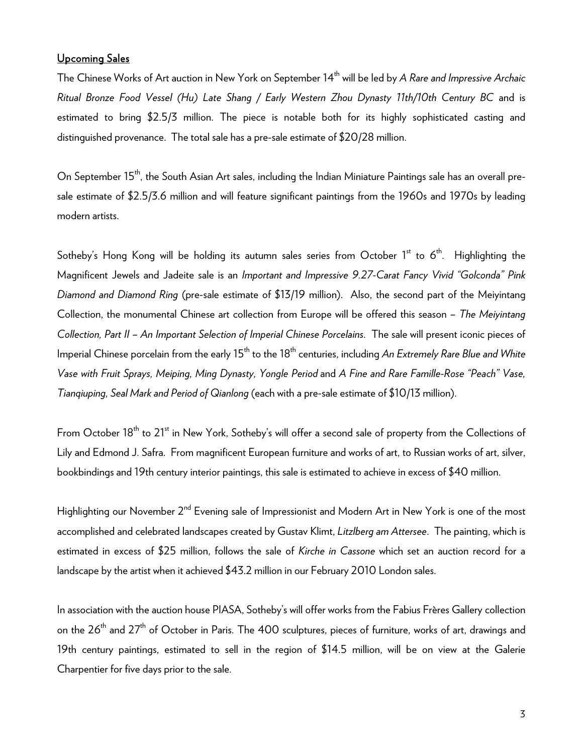#### Upcoming Sales

The Chinese Works of Art auction in New York on September 14<sup>th</sup> will be led by *A Rare and Impressive Archaic Ritual Bronze Food Vessel (Hu) Late Shang / Early Western Zhou Dynasty 11th/10th Century BC* and is estimated to bring \$2.5/3 million. The piece is notable both for its highly sophisticated casting and distinguished provenance. The total sale has a pre-sale estimate of \$20/28 million.

On September 15<sup>th</sup>, the South Asian Art sales, including the Indian Miniature Paintings sale has an overall presale estimate of \$2.5/3.6 million and will feature significant paintings from the 1960s and 1970s by leading modern artists.

Sotheby's Hong Kong will be holding its autumn sales series from October  $1^{st}$  to  $6^{th}$ . Highlighting the Magnificent Jewels and Jadeite sale is an *Important and Impressive 9.27-Carat Fancy Vivid "Golconda" Pink Diamond and Diamond Ring* (pre-sale estimate of \$13/19 million). Also, the second part of the Meiyintang Collection, the monumental Chinese art collection from Europe will be offered this season – *The Meiyintang Collection, Part II* – *An Important Selection of Imperial Chinese Porcelains*. The sale will present iconic pieces of Imperial Chinese porcelain from the early 15<sup>th</sup> to the 18<sup>th</sup> centuries, including *An Extremely Rare Blue and White Vase with Fruit Sprays, Meiping, Ming Dynasty, Yongle Period* and *A Fine and Rare Famille-Rose "Peach" Vase, Tianqiuping, Seal Mark and Period of Qianlong* (each with a pre-sale estimate of \$10/13 million).

From October 18<sup>th</sup> to 21<sup>st</sup> in New York, Sotheby's will offer a second sale of property from the Collections of Lily and Edmond J. Safra. From magnificent European furniture and works of art, to Russian works of art, silver, bookbindings and 19th century interior paintings, this sale is estimated to achieve in excess of \$40 million.

Highlighting our November 2<sup>nd</sup> Evening sale of Impressionist and Modern Art in New York is one of the most accomplished and celebrated landscapes created by Gustav Klimt, *Litzlberg am Attersee*. The painting, which is estimated in excess of \$25 million, follows the sale of *Kirche in Cassone* which set an auction record for a landscape by the artist when it achieved \$43.2 million in our February 2010 London sales.

In association with the auction house PIASA, Sotheby's will offer works from the Fabius Frères Gallery collection on the 26<sup>th</sup> and 27<sup>th</sup> of October in Paris. The 400 sculptures, pieces of furniture, works of art, drawings and 19th century paintings, estimated to sell in the region of \$14.5 million, will be on view at the Galerie Charpentier for five days prior to the sale.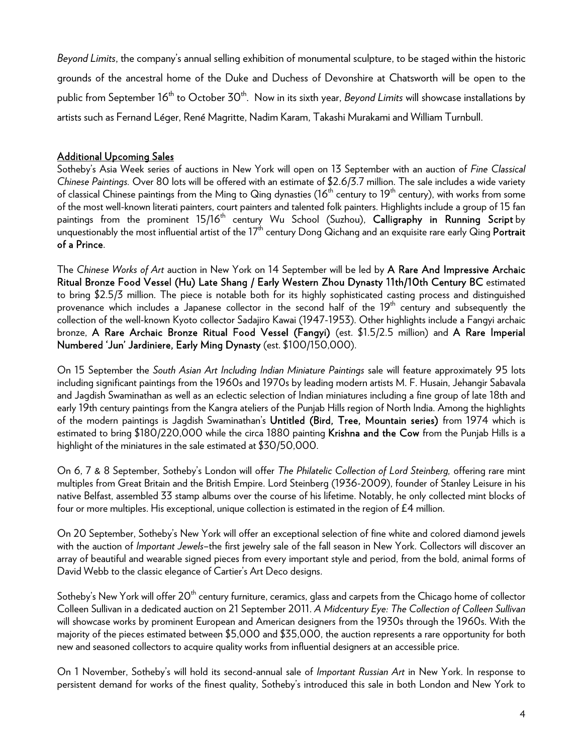*Beyond Limits*, the company's annual selling exhibition of monumental sculpture, to be staged within the historic grounds of the ancestral home of the Duke and Duchess of Devonshire at Chatsworth will be open to the public from September 16<sup>th</sup> to October 30<sup>th</sup>. Now in its sixth year, *Beyond Limits* will showcase installations by artists such as Fernand Léger, René Magritte, Nadim Karam, Takashi Murakami and William Turnbull.

#### Additional Upcoming Sales

Sotheby's Asia Week series of auctions in New York will open on 13 September with an auction of *Fine Classical Chinese Paintings.* Over 80 lots will be offered with an estimate of \$2.6/3.7 million. The sale includes a wide variety of classical Chinese paintings from the Ming to Qing dynasties ( $16^{th}$  century to  $19^{th}$  century), with works from some of the most well-known literati painters, court painters and talented folk painters. Highlights include a group of 15 fan paintings from the prominent 15/16<sup>th</sup> century Wu School (Suzhou), **Calligraphy in Running Script** by unquestionably the most influential artist of the  $17<sup>th</sup>$  century Dong Qichang and an exquisite rare early Qing Portrait of a Prince.

The *Chinese Works of Art* auction in New York on 14 September will be led by A Rare And Impressive Archaic Ritual Bronze Food Vessel (Hu) Late Shang / Early Western Zhou Dynasty 11th/10th Century BC estimated to bring \$2.5/3 million. The piece is notable both for its highly sophisticated casting process and distinguished provenance which includes a Japanese collector in the second half of the 19<sup>th</sup> century and subsequently the collection of the well-known Kyoto collector Sadajiro Kawai (1947-1953). Other highlights include a Fangyi archaic bronze, A Rare Archaic Bronze Ritual Food Vessel (Fangyi) (est. \$1.5/2.5 million) and A Rare Imperial Numbered 'Jun' Jardiniere, Early Ming Dynasty (est. \$100/150,000).

On 15 September the *South Asian Art Including Indian Miniature Paintings* sale will feature approximately 95 lots including significant paintings from the 1960s and 1970s by leading modern artists M. F. Husain, Jehangir Sabavala and Jagdish Swaminathan as well as an eclectic selection of Indian miniatures including a fine group of late 18th and early 19th century paintings from the Kangra ateliers of the Punjab Hills region of North India. Among the highlights of the modern paintings is Jagdish Swaminathan's Untitled (Bird, Tree, Mountain series) from 1974 which is estimated to bring \$180/220,000 while the circa 1880 painting Krishna and the Cow from the Punjab Hills is a highlight of the miniatures in the sale estimated at \$30/50,000.

On 6, 7 & 8 September, Sotheby's London will offer *The Philatelic Collection of Lord Steinberg,* offering rare mint multiples from Great Britain and the British Empire. Lord Steinberg (1936-2009), founder of Stanley Leisure in his native Belfast, assembled 33 stamp albums over the course of his lifetime. Notably, he only collected mint blocks of four or more multiples. His exceptional, unique collection is estimated in the region of £4 million.

On 20 September, Sotheby's New York will offer an exceptional selection of fine white and colored diamond jewels with the auction of *Important Jewels*–the first jewelry sale of the fall season in New York. Collectors will discover an array of beautiful and wearable signed pieces from every important style and period, from the bold, animal forms of David Webb to the classic elegance of Cartier's Art Deco designs.

Sotheby's New York will offer 20<sup>th</sup> century furniture, ceramics, glass and carpets from the Chicago home of collector Colleen Sullivan in a dedicated auction on 21 September 2011. *A Midcentury Eye: The Collection of Colleen Sullivan* will showcase works by prominent European and American designers from the 1930s through the 1960s. With the majority of the pieces estimated between \$5,000 and \$35,000, the auction represents a rare opportunity for both new and seasoned collectors to acquire quality works from influential designers at an accessible price.

On 1 November, Sotheby's will hold its second-annual sale of *Important Russian Art* in New York. In response to persistent demand for works of the finest quality, Sotheby's introduced this sale in both London and New York to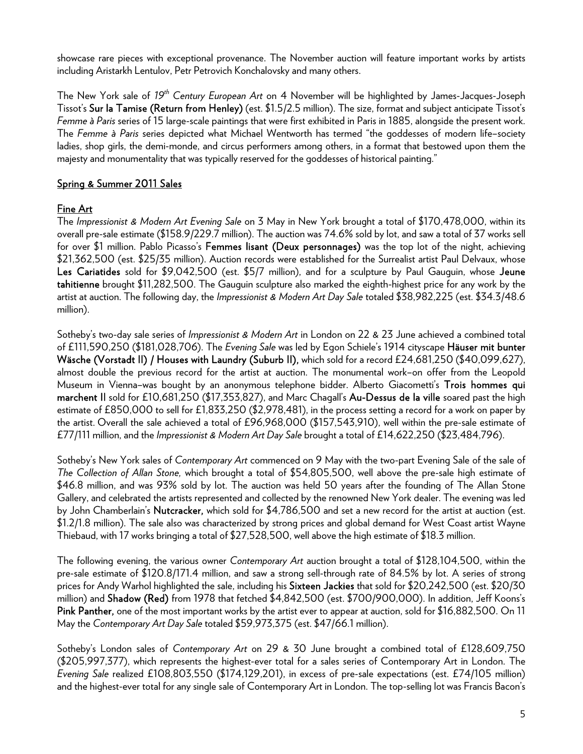showcase rare pieces with exceptional provenance. The November auction will feature important works by artists including Aristarkh Lentulov, Petr Petrovich Konchalovsky and many others.

The New York sale of *19th Century European Art* on 4 November will be highlighted by James-Jacques-Joseph Tissot's Sur la Tamise (Return from Henley) (est. \$1.5/2.5 million). The size, format and subject anticipate Tissot's *Femme à Paris* series of 15 large-scale paintings that were first exhibited in Paris in 1885, alongside the present work. The *Femme à Paris* series depicted what Michael Wentworth has termed "the goddesses of modern life–society ladies, shop girls, the demi-monde, and circus performers among others, in a format that bestowed upon them the majesty and monumentality that was typically reserved for the goddesses of historical painting."

# Spring & Summer 2011 Sales

## **Fine Art**

The *Impressionist & Modern Art Evening Sale* on 3 May in New York brought a total of \$170,478,000, within its overall pre-sale estimate (\$158.9/229.7 million). The auction was 74.6% sold by lot, and saw a total of 37 works sell for over \$1 million. Pablo Picasso's Femmes lisant (Deux personnages) was the top lot of the night, achieving \$21,362,500 (est. \$25/35 million). Auction records were established for the Surrealist artist Paul Delvaux, whose Les Cariatides sold for \$9,042,500 (est. \$5/7 million), and for a sculpture by Paul Gauguin, whose Jeune tahitienne brought \$11,282,500. The Gauguin sculpture also marked the eighth-highest price for any work by the artist at auction. The following day, the *Impressionist & Modern Art Day Sale* totaled \$38,982,225 (est. \$34.3/48.6 million).

Sotheby's two-day sale series of *Impressionist & Modern Art* in London on 22 & 23 June achieved a combined total of £111,590,250 (\$181,028,706). The *Evening Sale* was led by Egon Schiele's 1914 cityscape Häuser mit bunter Wäsche (Vorstadt II) / Houses with Laundry (Suburb II), which sold for a record £24,681,250 (\$40,099,627), almost double the previous record for the artist at auction. The monumental work–on offer from the Leopold Museum in Vienna–was bought by an anonymous telephone bidder. Alberto Giacometti's Trois hommes qui marchent II sold for £10,681,250 (\$17,353,827), and Marc Chagall's Au-Dessus de la ville soared past the high estimate of £850,000 to sell for £1,833,250 (\$2,978,481), in the process setting a record for a work on paper by the artist. Overall the sale achieved a total of £96,968,000 (\$157,543,910), well within the pre-sale estimate of £77/111 million, and the *Impressionist & Modern Art Day Sale* brought a total of £14,622,250 (\$23,484,796).

Sotheby's New York sales of *Contemporary Art* commenced on 9 May with the two-part Evening Sale of the sale of *The Collection of Allan Stone,* which brought a total of \$54,805,500, well above the pre-sale high estimate of \$46.8 million, and was 93% sold by lot. The auction was held 50 years after the founding of The Allan Stone Gallery, and celebrated the artists represented and collected by the renowned New York dealer. The evening was led by John Chamberlain's Nutcracker, which sold for \$4,786,500 and set a new record for the artist at auction (est. \$1.2/1.8 million). The sale also was characterized by strong prices and global demand for West Coast artist Wayne Thiebaud, with 17 works bringing a total of \$27,528,500, well above the high estimate of \$18.3 million.

The following evening, the various owner *Contemporary Art* auction brought a total of \$128,104,500, within the pre-sale estimate of \$120.8/171.4 million, and saw a strong sell-through rate of 84.5% by lot. A series of strong prices for Andy Warhol highlighted the sale, including his Sixteen Jackies that sold for \$20,242,500 (est. \$20/30 million) and Shadow (Red) from 1978 that fetched \$4,842,500 (est. \$700/900,000). In addition, Jeff Koons's Pink Panther, one of the most important works by the artist ever to appear at auction, sold for \$16,882,500. On 11 May the *Contemporary Art Day Sale* totaled \$59,973,375 (est. \$47/66.1 million).

Sotheby's London sales of *Contemporary Art* on 29 & 30 June brought a combined total of £128,609,750 (\$205,997,377), which represents the highest-ever total for a sales series of Contemporary Art in London. The *Evening Sale* realized £108,803,550 (\$174,129,201), in excess of pre-sale expectations (est. £74/105 million) and the highest-ever total for any single sale of Contemporary Art in London. The top-selling lot was Francis Bacon's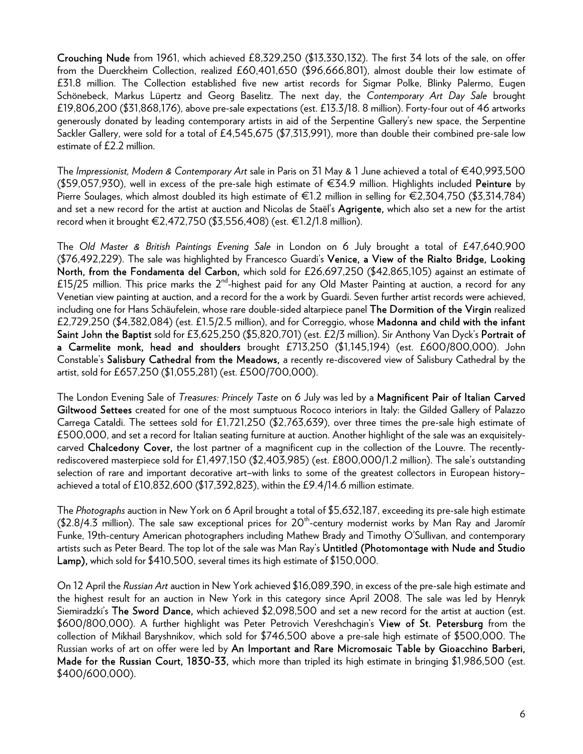Crouching Nude from 1961, which achieved £8,329,250 (\$13,330,132). The first 34 lots of the sale, on offer from the Duerckheim Collection, realized £60,401,650 (\$96,666,801), almost double their low estimate of £31.8 million. The Collection established five new artist records for Sigmar Polke, Blinky Palermo, Eugen Schönebeck, Markus Lüpertz and Georg Baselitz. The next day, the *Contemporary Art Day Sale* brought £19,806,200 (\$31,868,176), above pre-sale expectations (est. £13.3/18. 8 million). Forty-four out of 46 artworks generously donated by leading contemporary artists in aid of the Serpentine Gallery's new space, the Serpentine Sackler Gallery, were sold for a total of £4,545,675 (\$7,313,991), more than double their combined pre-sale low estimate of £2.2 million.

The *Impressionist, Modern & Contemporary Art* sale in Paris on 31 May & 1 June achieved a total of €40,993,500 (\$59,057,930), well in excess of the pre-sale high estimate of  $\epsilon$ 34.9 million. Highlights included Peinture by Pierre Soulages, which almost doubled its high estimate of €1.2 million in selling for €2,304,750 (\$3,314,784) and set a new record for the artist at auction and Nicolas de Staël's Agrigente, which also set a new for the artist record when it brought €2,472,750 (\$3,556,408) (est. €1.2/1.8 million).

The *Old Master & British Paintings Evening Sale* in London on 6 July brought a total of £47,640,900 (\$76,492,229). The sale was highlighted by Francesco Guardi's Venice, a View of the Rialto Bridge, Looking North, from the Fondamenta del Carbon, which sold for £26,697,250 (\$42,865,105) against an estimate of £15/25 million. This price marks the 2<sup>nd</sup>-highest paid for any Old Master Painting at auction, a record for any Venetian view painting at auction, and a record for the a work by Guardi. Seven further artist records were achieved, including one for Hans Schäufelein, whose rare double-sided altarpiece panel The Dormition of the Virgin realized £2,729,250 (\$4,382,084) (est. £1.5/2.5 million), and for Correggio, whose Madonna and child with the infant Saint John the Baptist sold for £3,625,250 (\$5,820,701) (est. £2/3 million). Sir Anthony Van Dyck's Portrait of a Carmelite monk, head and shoulders brought £713,250 (\$1,145,194) (est. £600/800,000). John Constable's Salisbury Cathedral from the Meadows, a recently re-discovered view of Salisbury Cathedral by the artist, sold for £657,250 (\$1,055,281) (est. £500/700,000).

The London Evening Sale of *Treasures: Princely Taste* on 6 July was led by a Magnificent Pair of Italian Carved Giltwood Settees created for one of the most sumptuous Rococo interiors in Italy: the Gilded Gallery of Palazzo Carrega Cataldi. The settees sold for £1,721,250 (\$2,763,639), over three times the pre-sale high estimate of £500,000, and set a record for Italian seating furniture at auction. Another highlight of the sale was an exquisitelycarved Chalcedony Cover, the lost partner of a magnificent cup in the collection of the Louvre. The recentlyrediscovered masterpiece sold for £1,497,150 (\$2,403,985) (est. £800,000/1.2 million). The sale's outstanding selection of rare and important decorative art–with links to some of the greatest collectors in European history– achieved a total of £10,832,600 (\$17,392,823), within the £9.4/14.6 million estimate.

The *Photographs* auction in New York on 6 April brought a total of \$5,632,187, exceeding its pre-sale high estimate  $$2.8/4.3$  million). The sale saw exceptional prices for  $20<sup>th</sup>$ -century modernist works by Man Ray and Jaromír Funke, 19th-century American photographers including Mathew Brady and Timothy O'Sullivan, and contemporary artists such as Peter Beard. The top lot of the sale was Man Ray's Untitled (Photomontage with Nude and Studio Lamp), which sold for \$410,500, several times its high estimate of \$150,000.

On 12 April the *Russian Art* auction in New York achieved \$16,089,390, in excess of the pre-sale high estimate and the highest result for an auction in New York in this category since April 2008. The sale was led by Henryk Siemiradzki's The Sword Dance, which achieved \$2,098,500 and set a new record for the artist at auction (est. \$600/800,000). A further highlight was Peter Petrovich Vereshchagin's View of St. Petersburg from the collection of Mikhail Baryshnikov, which sold for \$746,500 above a pre-sale high estimate of \$500,000. The Russian works of art on offer were led by An Important and Rare Micromosaic Table by Gioacchino Barberi, Made for the Russian Court, 1830-33, which more than tripled its high estimate in bringing \$1,986,500 (est. \$400/600,000).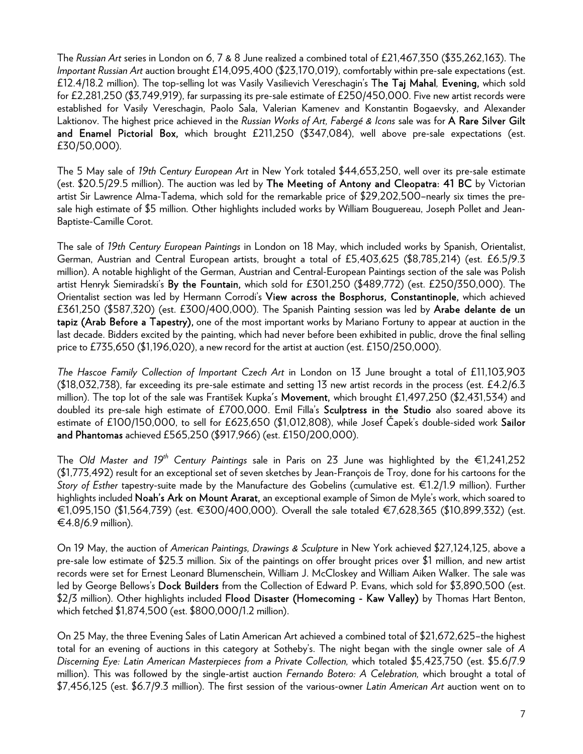The *Russian Art* series in London on 6, 7 & 8 June realized a combined total of £21,467,350 (\$35,262,163). The *Important Russian Art* auction brought £14,095,400 (\$23,170,019), comfortably within pre-sale expectations (est. £12.4/18.2 million). The top-selling lot was Vasily Vasilievich Vereschagin's The Taj Mahal*,* Evening, which sold for £2,281,250 (\$3,749,919), far surpassing its pre-sale estimate of £250/450,000. Five new artist records were established for Vasily Vereschagin, Paolo Sala, Valerian Kamenev and Konstantin Bogaevsky, and Alexander Laktionov. The highest price achieved in the *Russian Works of Art, Fabergé & Icons* sale was for A Rare Silver Gilt and Enamel Pictorial Box, which brought £211,250 (\$347,084), well above pre-sale expectations (est. £30/50,000).

The 5 May sale of *19th Century European Art* in New York totaled \$44,653,250, well over its pre-sale estimate (est. \$20.5/29.5 million). The auction was led by The Meeting of Antony and Cleopatra: 41 BC by Victorian artist Sir Lawrence Alma-Tadema, which sold for the remarkable price of \$29,202,500–nearly six times the presale high estimate of \$5 million. Other highlights included works by William Bouguereau, Joseph Pollet and Jean-Baptiste-Camille Corot.

The sale of *19th Century European Paintings* in London on 18 May, which included works by Spanish, Orientalist, German, Austrian and Central European artists, brought a total of £5,403,625 (\$8,785,214) (est. £6.5/9.3 million). A notable highlight of the German, Austrian and Central-European Paintings section of the sale was Polish artist Henryk Siemiradski's By the Fountain, which sold for £301,250 (\$489,772) (est. £250/350,000). The Orientalist section was led by Hermann Corrodi's View across the Bosphorus, Constantinople, which achieved £361,250 (\$587,320) (est. £300/400,000). The Spanish Painting session was led by Arabe delante de un tapiz (Arab Before a Tapestry), one of the most important works by Mariano Fortuny to appear at auction in the last decade. Bidders excited by the painting, which had never before been exhibited in public, drove the final selling price to £735,650 (\$1,196,020), a new record for the artist at auction (est. £150/250,000).

*The Hascoe Family Collection of Important Czech Art* in London on 13 June brought a total of £11,103,903 (\$18,032,738), far exceeding its pre-sale estimate and setting 13 new artist records in the process (est. £4.2/6.3 million). The top lot of the sale was František Kupka's Movement, which brought £1,497,250 (\$2,431,534) and doubled its pre-sale high estimate of £700,000. Emil Filla's Sculptress in the Studio also soared above its estimate of £100/150,000, to sell for £623,650 (\$1,012,808), while Josef Čapek's double-sided work Sailor and Phantomas achieved £565,250 (\$917,966) (est. £150/200,000).

The *Old Master and 19th Century Paintings* sale in Paris on 23 June was highlighted by the €1,241,252 (\$1,773,492) result for an exceptional set of seven sketches by Jean-François de Troy, done for his cartoons for the *Story of Esther* tapestry-suite made by the Manufacture des Gobelins (cumulative est. €1.2/1.9 million). Further highlights included Noah's Ark on Mount Ararat, an exceptional example of Simon de Myle's work, which soared to €1,095,150 (\$1,564,739) (est. €300/400,000). Overall the sale totaled €7,628,365 (\$10,899,332) (est. €4.8/6.9 million).

On 19 May, the auction of *American Paintings, Drawings & Sculpture* in New York achieved \$27,124,125, above a pre-sale low estimate of \$25.3 million. Six of the paintings on offer brought prices over \$1 million, and new artist records were set for Ernest Leonard Blumenschein, William J. McCloskey and William Aiken Walker. The sale was led by George Bellows's Dock Builders from the Collection of Edward P. Evans, which sold for \$3,890,500 (est. \$2/3 million). Other highlights included Flood Disaster (Homecoming - Kaw Valley) by Thomas Hart Benton, which fetched \$1,874,500 (est. \$800,000/1.2 million).

On 25 May, the three Evening Sales of Latin American Art achieved a combined total of \$21,672,625–the highest total for an evening of auctions in this category at Sotheby's. The night began with the single owner sale of *A Discerning Eye: Latin American Masterpieces from a Private Collection,* which totaled \$5,423,750 (est. \$5.6/7.9 million). This was followed by the single-artist auction *Fernando Botero: A Celebration,* which brought a total of \$7,456,125 (est. \$6.7/9.3 million). The first session of the various-owner *Latin American Art* auction went on to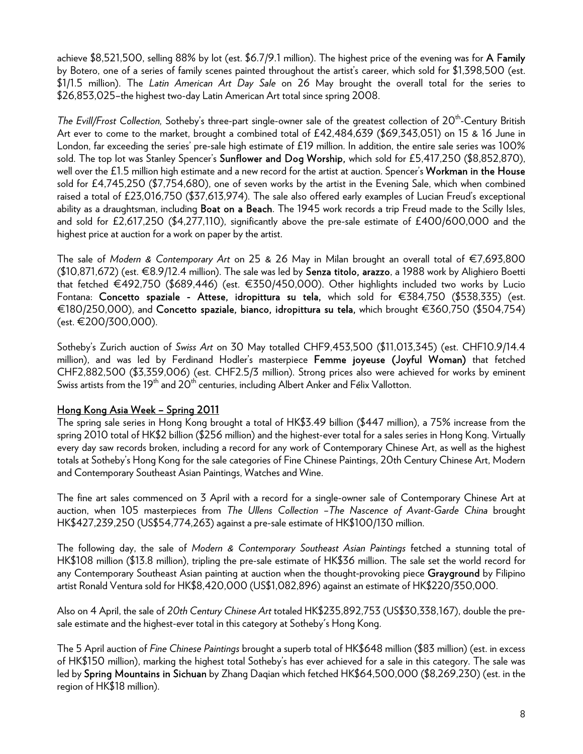achieve \$8,521,500, selling 88% by lot (est. \$6.7/9.1 million). The highest price of the evening was for A Family by Botero, one of a series of family scenes painted throughout the artist's career, which sold for \$1,398,500 (est. \$1/1.5 million). The *Latin American Art Day Sale* on 26 May brought the overall total for the series to \$26,853,025–the highest two-day Latin American Art total since spring 2008.

*The Evill/Frost Collection, Sotheby's three-part single-owner sale of the greatest collection of 20<sup>th</sup>-Century British* Art ever to come to the market, brought a combined total of £42,484,639 (\$69,343,051) on 15 & 16 June in London, far exceeding the series' pre-sale high estimate of £19 million. In addition, the entire sale series was 100% sold. The top lot was Stanley Spencer's **Sunflower and Dog Worship**, which sold for £5,417,250 (\$8,852,870), well over the £1.5 million high estimate and a new record for the artist at auction. Spencer's Workman in the House sold for £4,745,250 (\$7,754,680), one of seven works by the artist in the Evening Sale, which when combined raised a total of £23,016,750 (\$37,613,974). The sale also offered early examples of Lucian Freud's exceptional ability as a draughtsman, including Boat on a Beach. The 1945 work records a trip Freud made to the Scilly Isles, and sold for £2,617,250 (\$4,277,110), significantly above the pre-sale estimate of £400/600,000 and the highest price at auction for a work on paper by the artist.

The sale of *Modern & Contemporary Art* on 25 & 26 May in Milan brought an overall total of €7,693,800  $(10,871,672)$  (est.  $\epsilon 8.9/12.4$  million). The sale was led by **Senza titolo, arazzo**, a 1988 work by Alighiero Boetti that fetched €492,750 (\$689,446) (est. €350/450,000). Other highlights included two works by Lucio Fontana: Concetto spaziale - Attese, idropittura su tela, which sold for €384,750 (\$538,335) (est. €180/250,000), and Concetto spaziale, bianco, idropittura su tela, which brought €360,750 (\$504,754) (est. €200/300,000).

Sotheby's Zurich auction of *Swiss Art* on 30 May totalled CHF9,453,500 (\$11,013,345) (est. CHF10.9/14.4 million), and was led by Ferdinand Hodler's masterpiece Femme joyeuse (Joyful Woman) that fetched CHF2,882,500 (\$3,359,006) (est. CHF2.5/3 million). Strong prices also were achieved for works by eminent Swiss artists from the  $19<sup>th</sup>$  and  $20<sup>th</sup>$  centuries, including Albert Anker and Félix Vallotton.

## Hong Kong Asia Week – Spring 2011

The spring sale series in Hong Kong brought a total of HK\$3.49 billion (\$447 million), a 75% increase from the spring 2010 total of HK\$2 billion (\$256 million) and the highest-ever total for a sales series in Hong Kong. Virtually every day saw records broken, including a record for any work of Contemporary Chinese Art, as well as the highest totals at Sotheby's Hong Kong for the sale categories of Fine Chinese Paintings, 20th Century Chinese Art, Modern and Contemporary Southeast Asian Paintings, Watches and Wine.

The fine art sales commenced on 3 April with a record for a single-owner sale of Contemporary Chinese Art at auction, when 105 masterpieces from *The Ullens Collection –The Nascence of Avant-Garde China* brought HK\$427,239,250 (US\$54,774,263) against a pre-sale estimate of HK\$100/130 million.

The following day, the sale of *Modern & Contemporary Southeast Asian Paintings* fetched a stunning total of HK\$108 million (\$13.8 million), tripling the pre-sale estimate of HK\$36 million. The sale set the world record for any Contemporary Southeast Asian painting at auction when the thought-provoking piece Grayground by Filipino artist Ronald Ventura sold for HK\$8,420,000 (US\$1,082,896) against an estimate of HK\$220/350,000.

Also on 4 April, the sale of *20th Century Chinese Art* totaled HK\$235,892,753 (US\$30,338,167), double the presale estimate and the highest-ever total in this category at Sotheby's Hong Kong.

The 5 April auction of *Fine Chinese Paintings* brought a superb total of HK\$648 million (\$83 million) (est. in excess of HK\$150 million), marking the highest total Sotheby's has ever achieved for a sale in this category. The sale was led by Spring Mountains in Sichuan by Zhang Daqian which fetched HK\$64,500,000 (\$8,269,230) (est. in the region of HK\$18 million).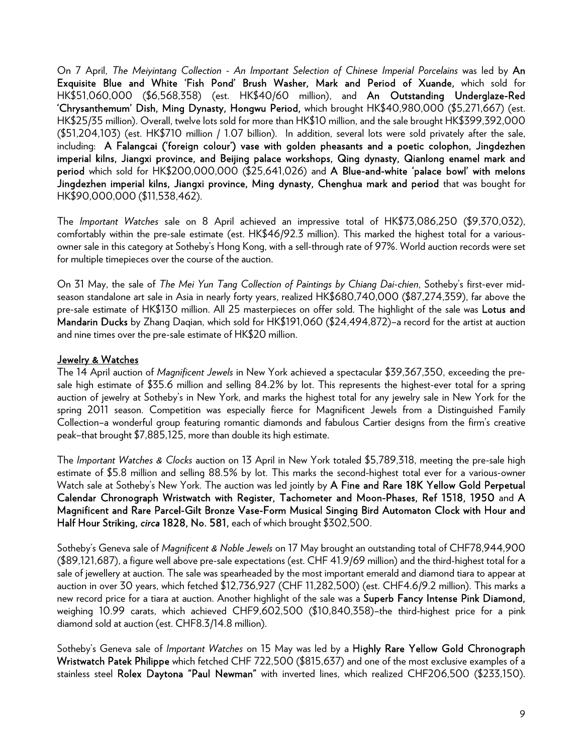On 7 April, *The Meiyintang Collection - An Important Selection of Chinese Imperial Porcelains* was led by An Exquisite Blue and White 'Fish Pond' Brush Washer, Mark and Period of Xuande, which sold for HK\$51,060,000 (\$6,568,358) (est. HK\$40/60 million), and An Outstanding Underglaze-Red 'Chrysanthemum' Dish, Ming Dynasty, Hongwu Period, which brought HK\$40,980,000 (\$5,271,667) (est. HK\$25/35 million). Overall, twelve lots sold for more than HK\$10 million, and the sale brought HK\$399,392,000 (\$51,204,103) (est. HK\$710 million / 1.07 billion). In addition, several lots were sold privately after the sale, including: A Falangcai ('foreign colour') vase with golden pheasants and a poetic colophon, Jingdezhen imperial kilns, Jiangxi province, and Beijing palace workshops, Qing dynasty, Qianlong enamel mark and period which sold for HK\$200,000,000 (\$25,641,026) and A Blue-and-white 'palace bowl' with melons Jingdezhen imperial kilns, Jiangxi province, Ming dynasty, Chenghua mark and period that was bought for HK\$90,000,000 (\$11,538,462).

The *Important Watches* sale on 8 April achieved an impressive total of HK\$73,086,250 (\$9,370,032), comfortably within the pre-sale estimate (est. HK\$46/92.3 million). This marked the highest total for a variousowner sale in this category at Sotheby's Hong Kong, with a sell-through rate of 97%. World auction records were set for multiple timepieces over the course of the auction.

On 31 May, the sale of *The Mei Yun Tang Collection of Paintings by Chiang Dai-chien*, Sotheby's first-ever midseason standalone art sale in Asia in nearly forty years, realized HK\$680,740,000 (\$87,274,359), far above the pre-sale estimate of HK\$130 million. All 25 masterpieces on offer sold. The highlight of the sale was Lotus and Mandarin Ducks by Zhang Daqian, which sold for HK\$191,060 (\$24,494,872)–a record for the artist at auction and nine times over the pre-sale estimate of HK\$20 million.

#### **Jewelry & Watches**

The 14 April auction of *Magnificent Jewels* in New York achieved a spectacular \$39,367,350, exceeding the presale high estimate of \$35.6 million and selling 84.2% by lot. This represents the highest-ever total for a spring auction of jewelry at Sotheby's in New York, and marks the highest total for any jewelry sale in New York for the spring 2011 season. Competition was especially fierce for Magnificent Jewels from a Distinguished Family Collection–a wonderful group featuring romantic diamonds and fabulous Cartier designs from the firm's creative peak–that brought \$7,885,125, more than double its high estimate.

The *Important Watches & Clocks* auction on 13 April in New York totaled \$5,789,318, meeting the pre-sale high estimate of \$5.8 million and selling 88.5% by lot. This marks the second-highest total ever for a various-owner Watch sale at Sotheby's New York. The auction was led jointly by A Fine and Rare 18K Yellow Gold Perpetual Calendar Chronograph Wristwatch with Register, Tachometer and Moon-Phases, Ref 1518, 1950 and A Magnificent and Rare Parcel-Gilt Bronze Vase-Form Musical Singing Bird Automaton Clock with Hour and Half Hour Striking, *circa* 1828, No. 581, each of which brought \$302,500.

Sotheby's Geneva sale of *Magnificent & Noble Jewels* on 17 May brought an outstanding total of CHF78,944,900 (\$89,121,687), a figure well above pre-sale expectations (est. CHF 41.9/69 million) and the third-highest total for a sale of jewellery at auction. The sale was spearheaded by the most important emerald and diamond tiara to appear at auction in over 30 years, which fetched \$12,736,927 (CHF 11,282,500) (est. CHF4.6/9.2 million). This marks a new record price for a tiara at auction. Another highlight of the sale was a Superb Fancy Intense Pink Diamond, weighing 10.99 carats, which achieved CHF9,602,500 (\$10,840,358)–the third-highest price for a pink diamond sold at auction (est. CHF8.3/14.8 million).

Sotheby's Geneva sale of *Important Watches* on 15 May was led by a Highly Rare Yellow Gold Chronograph Wristwatch Patek Philippe which fetched CHF 722,500 (\$815,637) and one of the most exclusive examples of a stainless steel Rolex Daytona "Paul Newman" with inverted lines, which realized CHF206,500 (\$233,150).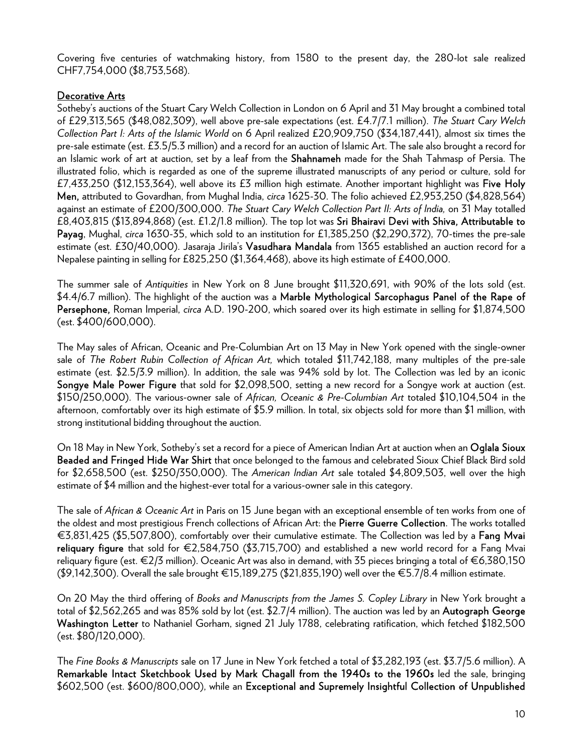Covering five centuries of watchmaking history, from 1580 to the present day, the 280-lot sale realized CHF7,754,000 (\$8,753,568).

#### Decorative Arts

Sotheby's auctions of the Stuart Cary Welch Collection in London on 6 April and 31 May brought a combined total of £29,313,565 (\$48,082,309), well above pre-sale expectations (est. £4.7/7.1 million). *The Stuart Cary Welch Collection Part I: Arts of the Islamic World* on 6 April realized £20,909,750 (\$34,187,441), almost six times the pre-sale estimate (est. £3.5/5.3 million) and a record for an auction of Islamic Art. The sale also brought a record for an Islamic work of art at auction, set by a leaf from the Shahnameh made for the Shah Tahmasp of Persia. The illustrated folio, which is regarded as one of the supreme illustrated manuscripts of any period or culture, sold for £7,433,250 (\$12,153,364), well above its £3 million high estimate. Another important highlight was Five Holy Men, attributed to Govardhan, from Mughal India, *circa* 1625-30. The folio achieved £2,953,250 (\$4,828,564) against an estimate of £200/300,000. *The Stuart Cary Welch Collection Part II: Arts of India,* on 31 May totalled £8,403,815 (\$13,894,868) (est. £1.2/1.8 million). The top lot was Sri Bhairavi Devi with Shiva, Attributable to Payag, Mughal, *circa* 1630-35, which sold to an institution for £1,385,250 (\$2,290,372), 70-times the pre-sale estimate (est. £30/40,000). Jasaraja Jirila's Vasudhara Mandala from 1365 established an auction record for a Nepalese painting in selling for £825,250 (\$1,364,468), above its high estimate of £400,000.

The summer sale of *Antiquities* in New York on 8 June brought \$11,320,691, with 90% of the lots sold (est. \$4.4/6.7 million). The highlight of the auction was a Marble Mythological Sarcophagus Panel of the Rape of Persephone, Roman Imperial, *circa* A.D. 190-200, which soared over its high estimate in selling for \$1,874,500 (est. \$400/600,000).

The May sales of African, Oceanic and Pre-Columbian Art on 13 May in New York opened with the single-owner sale of *The Robert Rubin Collection of African Art,* which totaled \$11,742,188, many multiples of the pre-sale estimate (est. \$2.5/3.9 million). In addition, the sale was 94% sold by lot. The Collection was led by an iconic Songye Male Power Figure that sold for \$2,098,500, setting a new record for a Songye work at auction (est. \$150/250,000). The various-owner sale of *African, Oceanic & Pre-Columbian Art* totaled \$10,104,504 in the afternoon, comfortably over its high estimate of \$5.9 million. In total, six objects sold for more than \$1 million, with strong institutional bidding throughout the auction.

On 18 May in New York, Sotheby's set a record for a piece of American Indian Art at auction when an Oglala Sioux Beaded and Fringed Hide War Shirt that once belonged to the famous and celebrated Sioux Chief Black Bird sold for \$2,658,500 (est. \$250/350,000). The *American Indian Art* sale totaled \$4,809,503, well over the high estimate of \$4 million and the highest-ever total for a various-owner sale in this category.

The sale of *African & Oceanic Art* in Paris on 15 June began with an exceptional ensemble of ten works from one of the oldest and most prestigious French collections of African Art: the Pierre Guerre Collection. The works totalled €3,831,425 (\$5,507,800), comfortably over their cumulative estimate. The Collection was led by a Fang Mvai reliquary figure that sold for €2,584,750 (\$3,715,700) and established a new world record for a Fang Mvai reliquary figure (est. €2/3 million). Oceanic Art was also in demand, with 35 pieces bringing a total of €6,380,150 (\$9,142,300). Overall the sale brought €15,189,275 (\$21,835,190) well over the €5.7/8.4 million estimate.

On 20 May the third offering of *Books and Manuscripts from the James S. Copley Library* in New York brought a total of \$2,562,265 and was 85% sold by lot (est. \$2.7/4 million). The auction was led by an Autograph George Washington Letter to Nathaniel Gorham, signed 21 July 1788, celebrating ratification, which fetched \$182,500 (est. \$80/120,000).

The *Fine Books & Manuscripts* sale on 17 June in New York fetched a total of \$3,282,193 (est. \$3.7/5.6 million). A Remarkable Intact Sketchbook Used by Mark Chagall from the 1940s to the 1960s led the sale, bringing \$602,500 (est. \$600/800,000), while an Exceptional and Supremely Insightful Collection of Unpublished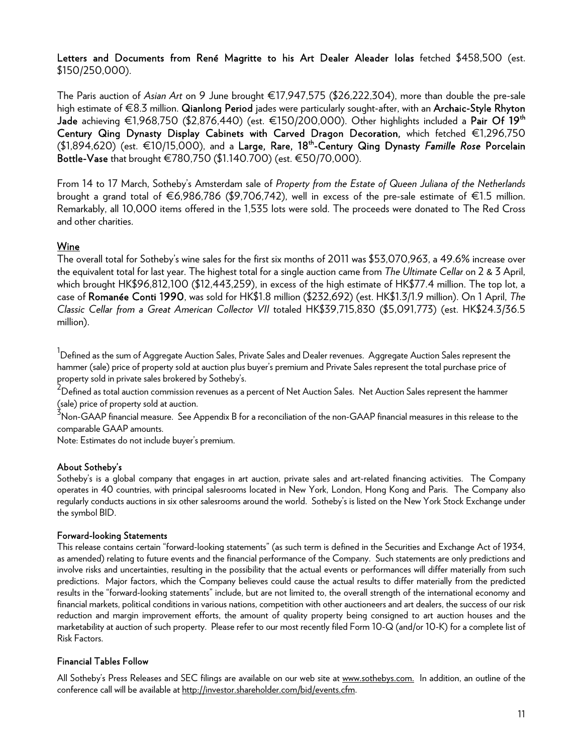Letters and Documents from René Magritte to his Art Dealer Aleader Iolas fetched \$458,500 (est. \$150/250,000).

The Paris auction of *Asian Art* on 9 June brought €17,947,575 (\$26,222,304), more than double the pre-sale high estimate of €8.3 million. Qianlong Period jades were particularly sought-after, with an Archaic-Style Rhyton Jade achieving  $\epsilon$ 1,968,750 (\$2,876,440) (est.  $\epsilon$ 150/200,000). Other highlights included a Pair Of 19<sup>th</sup> Century Qing Dynasty Display Cabinets with Carved Dragon Decoration, which fetched €1,296,750 (\$1,894,620) (est. €10/15,000), and a Large, Rare, 18th-CenturyQing Dynasty *Famille Rose* Porcelain Bottle-Vase that brought €780,750 (\$1.140.700) (est. €50/70,000).

From 14 to 17 March, Sotheby's Amsterdam sale of *Property from the Estate of Queen Juliana of the Netherlands* brought a grand total of €6,986,786 (\$9,706,742), well in excess of the pre-sale estimate of €1.5 million. Remarkably, all 10,000 items offered in the 1,535 lots were sold. The proceeds were donated to The Red Cross and other charities.

#### Wine

The overall total for Sotheby's wine sales for the first six months of 2011 was \$53,070,963, a 49.6% increase over the equivalent total for last year. The highest total for a single auction came from *The Ultimate Cellar* on 2 & 3 April, which brought HK\$96,812,100 (\$12,443,259), in excess of the high estimate of HK\$77.4 million. The top lot, a case of Romanée Conti 1990, was sold for HK\$1.8 million (\$232,692) (est. HK\$1.3/1.9 million). On 1 April, *The Classic Cellar from a Great American Collector VII* totaled HK\$39,715,830 (\$5,091,773) (est. HK\$24.3/36.5 million).

 $^{\rm 1}$ Defined as the sum of Aggregate Auction Sales, Private Sales and Dealer revenues.  $\,$ Aggregate Auction Sales represent the hammer (sale) price of property sold at auction plus buyer's premium and Private Sales represent the total purchase price of property sold in private sales brokered by Sotheby's.

 $^2$ Defined as total auction commission revenues as a percent of Net Auction Sales. Net Auction Sales represent the hammer (sale) price of property sold at auction.

 $^3$ Non-GAAP financial measure. See Appendix B for a reconciliation of the non-GAAP financial measures in this release to the comparable GAAP amounts.

Note: Estimates do not include buyer's premium.

#### About Sotheby's

Sotheby's is a global company that engages in art auction, private sales and art-related financing activities. The Company operates in 40 countries, with principal salesrooms located in New York, London, Hong Kong and Paris. The Company also regularly conducts auctions in six other salesrooms around the world. Sotheby's is listed on the New York Stock Exchange under the symbol BID.

#### Forward-looking Statements

This release contains certain "forward-looking statements" (as such term is defined in the Securities and Exchange Act of 1934, as amended) relating to future events and the financial performance of the Company. Such statements are only predictions and involve risks and uncertainties, resulting in the possibility that the actual events or performances will differ materially from such predictions. Major factors, which the Company believes could cause the actual results to differ materially from the predicted results in the "forward-looking statements" include, but are not limited to, the overall strength of the international economy and financial markets, political conditions in various nations, competition with other auctioneers and art dealers, the success of our risk reduction and margin improvement efforts, the amount of quality property being consigned to art auction houses and the marketability at auction of such property. Please refer to our most recently filed Form 10-Q (and/or 10-K) for a complete list of Risk Factors.

#### Financial Tables Follow

All Sotheby's Press Releases and SEC filings are available on our web site at www.sothebys.com. In addition, an outline of the conference call will be available at http://investor.shareholder.com/bid/events.cfm.